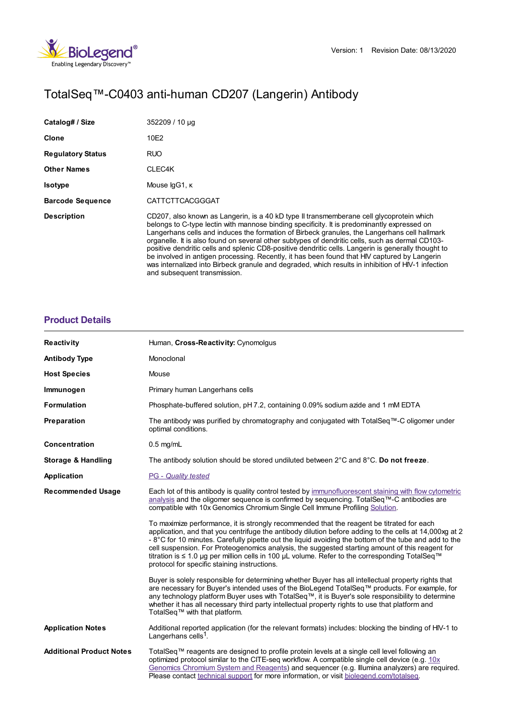

# TotalSeq™-C0403 anti-human CD207 (Langerin) Antibody

| Catalog# / Size          | 352209 / 10 µg                                                                                                                                                                                                                                                                                                                                                                                                                                                                                                                                                                                                                                                                                                                          |
|--------------------------|-----------------------------------------------------------------------------------------------------------------------------------------------------------------------------------------------------------------------------------------------------------------------------------------------------------------------------------------------------------------------------------------------------------------------------------------------------------------------------------------------------------------------------------------------------------------------------------------------------------------------------------------------------------------------------------------------------------------------------------------|
| Clone                    | 10E2                                                                                                                                                                                                                                                                                                                                                                                                                                                                                                                                                                                                                                                                                                                                    |
| <b>Regulatory Status</b> | RUO                                                                                                                                                                                                                                                                                                                                                                                                                                                                                                                                                                                                                                                                                                                                     |
| <b>Other Names</b>       | CLEC4K                                                                                                                                                                                                                                                                                                                                                                                                                                                                                                                                                                                                                                                                                                                                  |
| <b>Isotype</b>           | Mouse IgG1, K                                                                                                                                                                                                                                                                                                                                                                                                                                                                                                                                                                                                                                                                                                                           |
| <b>Barcode Sequence</b>  | <b>CATTCTTCACGGGAT</b>                                                                                                                                                                                                                                                                                                                                                                                                                                                                                                                                                                                                                                                                                                                  |
| <b>Description</b>       | CD207, also known as Langerin, is a 40 kD type II transmemberane cell glycoprotein which<br>belongs to C-type lectin with mannose binding specificity. It is predominantly expressed on<br>Langerhans cells and induces the formation of Birbeck granules, the Langerhans cell hallmark<br>organelle. It is also found on several other subtypes of dendritic cells, such as dermal CD103-<br>positive dendritic cells and splenic CD8-positive dendritic cells. Langerin is generally thought to<br>be involved in antigen processing. Recently, it has been found that HIV captured by Langerin<br>was internalized into Birbeck granule and degraded, which results in inhibition of HIV-1 infection<br>and subsequent transmission. |

## **[Product](https://production-dynamicweb.biolegend.com/en-gb/products/totalseq-c0403-anti-human-cd207-langerin-antibody-19877?pdf=true&displayInline=true&leftRightMargin=15&topBottomMargin=15&filename=TotalSeq%EF%BF%BD%EF%BF%BD%EF%BF%BD-C0403 anti-human CD207 (Langerin) Antibody.pdf#productDetails) Details**

| <b>Reactivity</b>               | Human, Cross-Reactivity: Cynomolqus                                                                                                                                                                                                                                                                                                                                                                                                                                                                                                                               |
|---------------------------------|-------------------------------------------------------------------------------------------------------------------------------------------------------------------------------------------------------------------------------------------------------------------------------------------------------------------------------------------------------------------------------------------------------------------------------------------------------------------------------------------------------------------------------------------------------------------|
| <b>Antibody Type</b>            | Monoclonal                                                                                                                                                                                                                                                                                                                                                                                                                                                                                                                                                        |
| <b>Host Species</b>             | Mouse                                                                                                                                                                                                                                                                                                                                                                                                                                                                                                                                                             |
| Immunogen                       | Primary human Langerhans cells                                                                                                                                                                                                                                                                                                                                                                                                                                                                                                                                    |
| <b>Formulation</b>              | Phosphate-buffered solution, pH 7.2, containing 0.09% sodium azide and 1 mM EDTA                                                                                                                                                                                                                                                                                                                                                                                                                                                                                  |
| Preparation                     | The antibody was purified by chromatography and conjugated with TotalSeq™-C oligomer under<br>optimal conditions.                                                                                                                                                                                                                                                                                                                                                                                                                                                 |
| <b>Concentration</b>            | $0.5$ mg/mL                                                                                                                                                                                                                                                                                                                                                                                                                                                                                                                                                       |
| <b>Storage &amp; Handling</b>   | The antibody solution should be stored undiluted between $2^{\circ}$ C and $8^{\circ}$ C. Do not freeze.                                                                                                                                                                                                                                                                                                                                                                                                                                                          |
| Application                     | <b>PG</b> - Quality tested                                                                                                                                                                                                                                                                                                                                                                                                                                                                                                                                        |
| <b>Recommended Usage</b>        | Each lot of this antibody is quality control tested by immunofluorescent staining with flow cytometric<br>analysis and the oligomer sequence is confirmed by sequencing. TotalSeq™-C antibodies are<br>compatible with 10x Genomics Chromium Single Cell Immune Profiling Solution.                                                                                                                                                                                                                                                                               |
|                                 | To maximize performance, it is strongly recommended that the reagent be titrated for each<br>application, and that you centrifuge the antibody dilution before adding to the cells at 14,000xg at 2<br>- 8°C for 10 minutes. Carefully pipette out the liquid avoiding the bottom of the tube and add to the<br>cell suspension. For Proteogenomics analysis, the suggested starting amount of this reagent for<br>titration is ≤ 1.0 µg per million cells in 100 µL volume. Refer to the corresponding TotalSeq™<br>protocol for specific staining instructions. |
|                                 | Buyer is solely responsible for determining whether Buyer has all intellectual property rights that<br>are necessary for Buyer's intended uses of the BioLegend TotalSeq™ products. For example, for<br>any technology platform Buyer uses with TotalSeq™, it is Buyer's sole responsibility to determine<br>whether it has all necessary third party intellectual property rights to use that platform and<br>TotalSeq™ with that platform.                                                                                                                      |
| <b>Application Notes</b>        | Additional reported application (for the relevant formats) includes: blocking the binding of HIV-1 to<br>Langerhans cells <sup>1</sup> .                                                                                                                                                                                                                                                                                                                                                                                                                          |
| <b>Additional Product Notes</b> | TotalSeq™ reagents are designed to profile protein levels at a single cell level following an<br>optimized protocol similar to the CITE-seq workflow. A compatible single cell device (e.g. 10x<br>Genomics Chromium System and Reagents) and sequencer (e.g. Illumina analyzers) are required.<br>Please contact technical support for more information, or visit biolegend.com/totalseq.                                                                                                                                                                        |